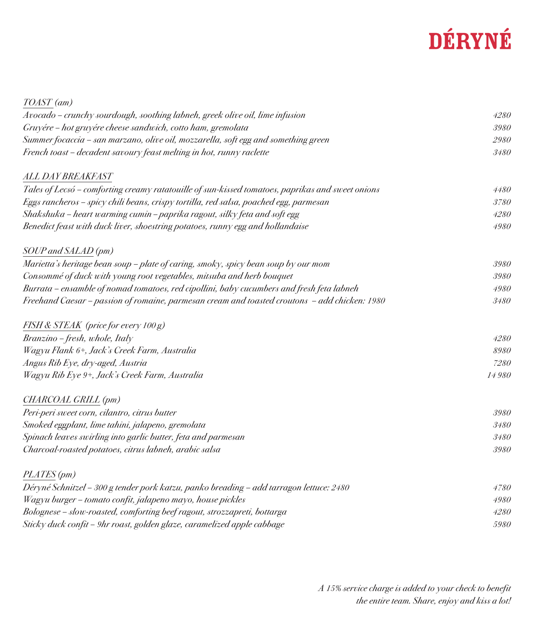## DÉRYNÉ

| TOAST (am)                                                                                       |       |
|--------------------------------------------------------------------------------------------------|-------|
| Avocado - crunchy sourdough, soothing labneh, greek olive oil, lime infusion                     | 4280  |
| Gruyére – hot gruyére cheese sandwich, cotto ham, gremolata                                      | 3980  |
| Summer focaccia - san marzano, olive oil, mozzarella, soft egg and something green               | 2980  |
| French toast - decadent savoury feast melting in hot, runny raclette                             | 3480  |
| ALL DAY BREAKFAST                                                                                |       |
| Tales of Lecsó - comforting creamy ratatouille of sun-kissed tomatoes, paprikas and sweet onions | 4480  |
| Eggs rancheros - spicy chili beans, crispy tortilla, red salsa, poached egg, parmesan            | 3780  |
| Shakshuka – heart warming cumin – paprika ragout, silky feta and soft egg                        | 4280  |
| Benedict feast with duck liver, shoestring potatoes, runny egg and hollandaise                   | 4980  |
| SOUP and SALAD (pm)                                                                              |       |
| Marietta's heritage bean soup - plate of caring, smoky, spicy bean soup by our mom               | 3980  |
| Consommé of duck with young root vegetables, mitsuba and herb bouquet                            | 3980  |
| Burrata - ensamble of nomad tomatoes, red cipollini, baby cucumbers and fresh feta labneh        | 4980  |
| Freehand Caesar – passion of romaine, parmesan cream and toasted croutons – add chicken: 1980    | 3480  |
| FISH & STEAK (price for every 100 g)                                                             |       |
| Branzino - fresh, whole, Italy                                                                   | 4280  |
| Wagyu Flank 6+, Jack's Creek Farm, Australia                                                     | 8980  |
| Angus Rib Eye, dry-aged, Austria                                                                 | 7280  |
| Wagyu Rib Eye 9+, Jack's Creek Farm, Australia                                                   | 14980 |
| CHARCOAL GRILL (pm)                                                                              |       |
| Peri-peri sweet corn, cilantro, citrus butter                                                    | 3980  |
| Smoked eggplant, lime tahini, jalapeno, gremolata                                                | 3480  |
| Spinach leaves swirling into garlic butter, feta and parmesan                                    | 3480  |
| Charcoal-roasted potatoes, citrus labneh, arabic salsa                                           | 3980  |
| PLATES (pm)                                                                                      |       |
| Déryné Schnitzel – 300 g tender pork katzu, panko breading – add tarragon lettuce: 2480          | 4780  |
| Wagyu burger - tomato confit, jalapeno mayo, house pickles                                       | 4980  |
| Bolognese - slow-roasted, comforting beef ragout, strozzapreti, bottarga                         | 4280  |
| Sticky duck confit – 9hr roast, golden glaze, caramelized apple cabbage                          | 5980  |
|                                                                                                  |       |